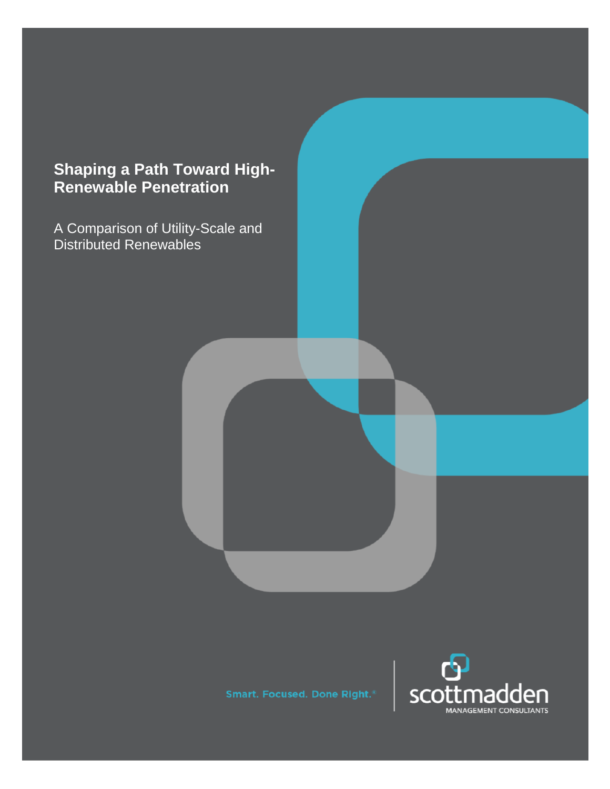# **Shaping a Path Toward High-Renewable Penetration**

A Comparison of Utility-Scale and Distributed Renewables

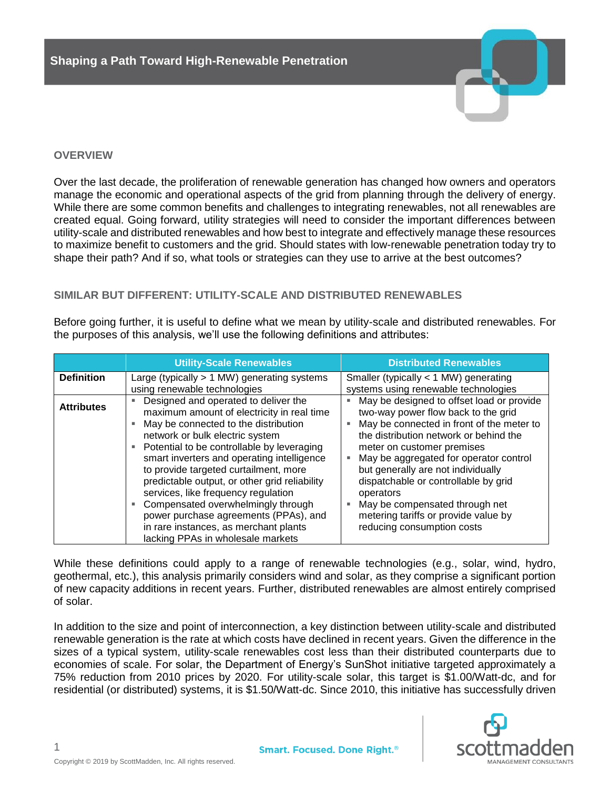

## **OVERVIEW**

Over the last decade, the proliferation of renewable generation has changed how owners and operators manage the economic and operational aspects of the grid from planning through the delivery of energy. While there are some common benefits and challenges to integrating renewables, not all renewables are created equal. Going forward, utility strategies will need to consider the important differences between utility-scale and distributed renewables and how best to integrate and effectively manage these resources to maximize benefit to customers and the grid. Should states with low-renewable penetration today try to shape their path? And if so, what tools or strategies can they use to arrive at the best outcomes?

# **SIMILAR BUT DIFFERENT: UTILITY-SCALE AND DISTRIBUTED RENEWABLES**

Before going further, it is useful to define what we mean by utility-scale and distributed renewables. For the purposes of this analysis, we'll use the following definitions and attributes:

|                   | <b>Utility-Scale Renewables</b>                                                                                                                                                                                                                                                                                                                                                                                                                                                                                                                         | <b>Distributed Renewables</b>                                                                                                                                                                                                                                                                                                                                                                                                                      |
|-------------------|---------------------------------------------------------------------------------------------------------------------------------------------------------------------------------------------------------------------------------------------------------------------------------------------------------------------------------------------------------------------------------------------------------------------------------------------------------------------------------------------------------------------------------------------------------|----------------------------------------------------------------------------------------------------------------------------------------------------------------------------------------------------------------------------------------------------------------------------------------------------------------------------------------------------------------------------------------------------------------------------------------------------|
| <b>Definition</b> | Large (typically $> 1$ MW) generating systems<br>using renewable technologies                                                                                                                                                                                                                                                                                                                                                                                                                                                                           | Smaller (typically $<$ 1 MW) generating<br>systems using renewable technologies                                                                                                                                                                                                                                                                                                                                                                    |
| <b>Attributes</b> | Designed and operated to deliver the<br>maximum amount of electricity in real time<br>May be connected to the distribution<br>network or bulk electric system<br>Potential to be controllable by leveraging<br>smart inverters and operating intelligence<br>to provide targeted curtailment, more<br>predictable output, or other grid reliability<br>services, like frequency regulation<br>Compensated overwhelmingly through<br>power purchase agreements (PPAs), and<br>in rare instances, as merchant plants<br>lacking PPAs in wholesale markets | May be designed to offset load or provide<br>two-way power flow back to the grid<br>May be connected in front of the meter to<br>the distribution network or behind the<br>meter on customer premises<br>May be aggregated for operator control<br>but generally are not individually<br>dispatchable or controllable by grid<br>operators<br>May be compensated through net<br>metering tariffs or provide value by<br>reducing consumption costs |

While these definitions could apply to a range of renewable technologies (e.g., solar, wind, hydro, geothermal, etc.), this analysis primarily considers wind and solar, as they comprise a significant portion of new capacity additions in recent years. Further, distributed renewables are almost entirely comprised of solar.

In addition to the size and point of interconnection, a key distinction between utility-scale and distributed renewable generation is the rate at which costs have declined in recent years. Given the difference in the sizes of a typical system, utility-scale renewables cost less than their distributed counterparts due to economies of scale. For solar, the Department of Energy's SunShot initiative targeted approximately a 75% reduction from 2010 prices by 2020. For utility-scale solar, this target is \$1.00/Watt-dc, and for residential (or distributed) systems, it is \$1.50/Watt-dc. Since 2010, this initiative has successfully driven

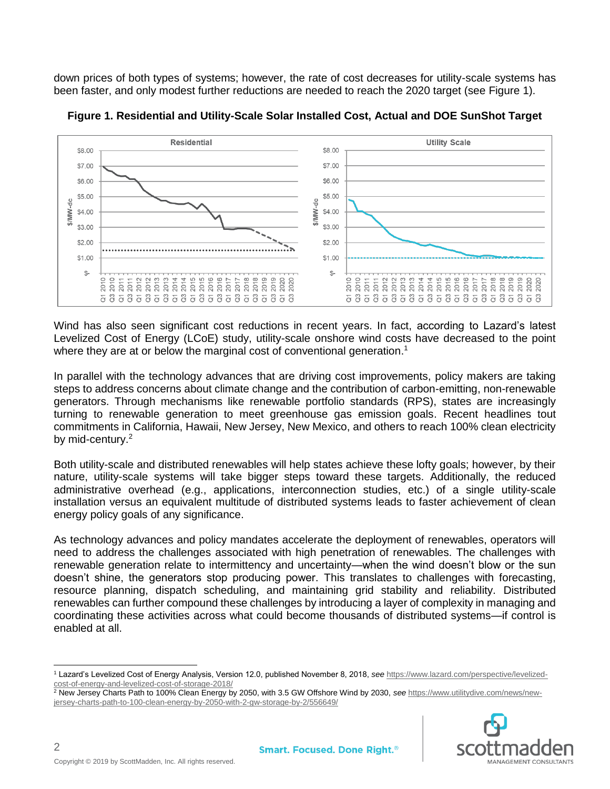down prices of both types of systems; however, the rate of cost decreases for utility-scale systems has been faster, and only modest further reductions are needed to reach the 2020 target (see Figure 1).





Wind has also seen significant cost reductions in recent years. In fact, according to Lazard's latest Levelized Cost of Energy (LCoE) study, utility-scale onshore wind costs have decreased to the point where they are at or below the marginal cost of conventional generation.<sup>1</sup>

In parallel with the technology advances that are driving cost improvements, policy makers are taking steps to address concerns about climate change and the contribution of carbon-emitting, non-renewable generators. Through mechanisms like renewable portfolio standards (RPS), states are increasingly turning to renewable generation to meet greenhouse gas emission goals. Recent headlines tout commitments in California, Hawaii, New Jersey, New Mexico, and others to reach 100% clean electricity by mid-century.<sup>2</sup>

Both utility-scale and distributed renewables will help states achieve these lofty goals; however, by their nature, utility-scale systems will take bigger steps toward these targets. Additionally, the reduced administrative overhead (e.g., applications, interconnection studies, etc.) of a single utility-scale installation versus an equivalent multitude of distributed systems leads to faster achievement of clean energy policy goals of any significance.

As technology advances and policy mandates accelerate the deployment of renewables, operators will need to address the challenges associated with high penetration of renewables. The challenges with renewable generation relate to intermittency and uncertainty—when the wind doesn't blow or the sun doesn't shine, the generators stop producing power. This translates to challenges with forecasting, resource planning, dispatch scheduling, and maintaining grid stability and reliability. Distributed renewables can further compound these challenges by introducing a layer of complexity in managing and coordinating these activities across what could become thousands of distributed systems—if control is enabled at all.

<sup>2</sup> New Jersey Charts Path to 100% Clean Energy by 2050, with 3.5 GW Offshore Wind by 2030, *see* [https://www.utilitydive.com/news/new](https://www.utilitydive.com/news/new-jersey-charts-path-to-100-clean-energy-by-2050-with-2-gw-storage-by-2/556649/)[jersey-charts-path-to-100-clean-energy-by-2050-with-2-gw-storage-by-2/556649/](https://www.utilitydive.com/news/new-jersey-charts-path-to-100-clean-energy-by-2050-with-2-gw-storage-by-2/556649/)



2

 <sup>1</sup> Lazard's Levelized Cost of Energy Analysis, Version 12.0, published November 8, 2018, *see* [https://www.lazard.com/perspective/levelized](https://www.lazard.com/perspective/levelized-cost-of-energy-and-levelized-cost-of-storage-2018/)[cost-of-energy-and-levelized-cost-of-storage-2018/](https://www.lazard.com/perspective/levelized-cost-of-energy-and-levelized-cost-of-storage-2018/)<br>
<sup>2</sup> New Jerson Charles Ball: 1, 1999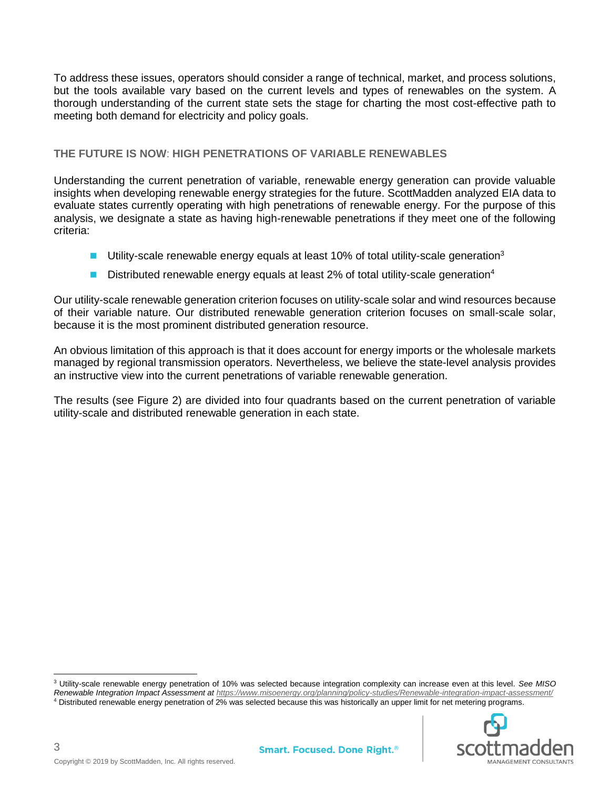To address these issues, operators should consider a range of technical, market, and process solutions, but the tools available vary based on the current levels and types of renewables on the system. A thorough understanding of the current state sets the stage for charting the most cost-effective path to meeting both demand for electricity and policy goals.

## **THE FUTURE IS NOW**: **HIGH PENETRATIONS OF VARIABLE RENEWABLES**

Understanding the current penetration of variable, renewable energy generation can provide valuable insights when developing renewable energy strategies for the future. ScottMadden analyzed EIA data to evaluate states currently operating with high penetrations of renewable energy. For the purpose of this analysis, we designate a state as having high-renewable penetrations if they meet one of the following criteria:

- **■** Utility-scale renewable energy equals at least 10% of total utility-scale generation<sup>3</sup>
- $\blacksquare$  Distributed renewable energy equals at least 2% of total utility-scale generation<sup>4</sup>

Our utility-scale renewable generation criterion focuses on utility-scale solar and wind resources because of their variable nature. Our distributed renewable generation criterion focuses on small-scale solar, because it is the most prominent distributed generation resource.

An obvious limitation of this approach is that it does account for energy imports or the wholesale markets managed by regional transmission operators. Nevertheless, we believe the state-level analysis provides an instructive view into the current penetrations of variable renewable generation.

The results (see Figure 2) are divided into four quadrants based on the current penetration of variable utility-scale and distributed renewable generation in each state.

<sup>3</sup> Utility-scale renewable energy penetration of 10% was selected because integration complexity can increase even at this level. *See MISO* 

*Renewable Integration Impact Assessment at<https://www.misoenergy.org/planning/policy-studies/Renewable-integration-impact-assessment/>* <sup>4</sup> Distributed renewable energy penetration of 2% was selected because this was historically an upper limit for net metering programs.



3

 $\overline{a}$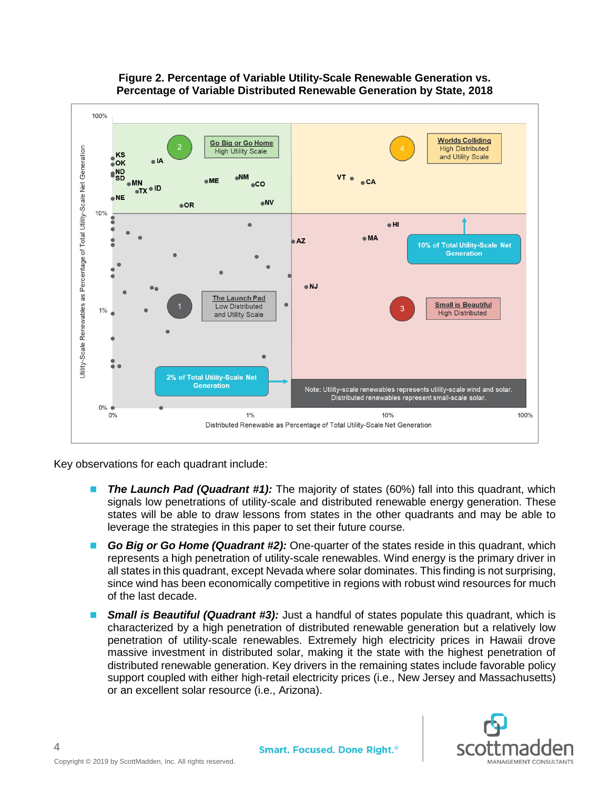

# **Figure 2. Percentage of Variable Utility-Scale Renewable Generation vs. Percentage of Variable Distributed Renewable Generation by State, 2018**

Key observations for each quadrant include:

- **The Launch Pad (Quadrant #1):** The majority of states (60%) fall into this quadrant, which signals low penetrations of utility-scale and distributed renewable energy generation. These states will be able to draw lessons from states in the other quadrants and may be able to leverage the strategies in this paper to set their future course.
- Go Big or Go Home (Quadrant #2): One-quarter of the states reside in this quadrant, which represents a high penetration of utility-scale renewables. Wind energy is the primary driver in all states in this quadrant, except Nevada where solar dominates. This finding is not surprising, since wind has been economically competitive in regions with robust wind resources for much of the last decade.
- **Small is Beautiful (Quadrant #3):** Just a handful of states populate this quadrant, which is characterized by a high penetration of distributed renewable generation but a relatively low penetration of utility-scale renewables. Extremely high electricity prices in Hawaii drove massive investment in distributed solar, making it the state with the highest penetration of distributed renewable generation. Key drivers in the remaining states include favorable policy support coupled with either high-retail electricity prices (i.e., New Jersey and Massachusetts) or an excellent solar resource (i.e., Arizona).



4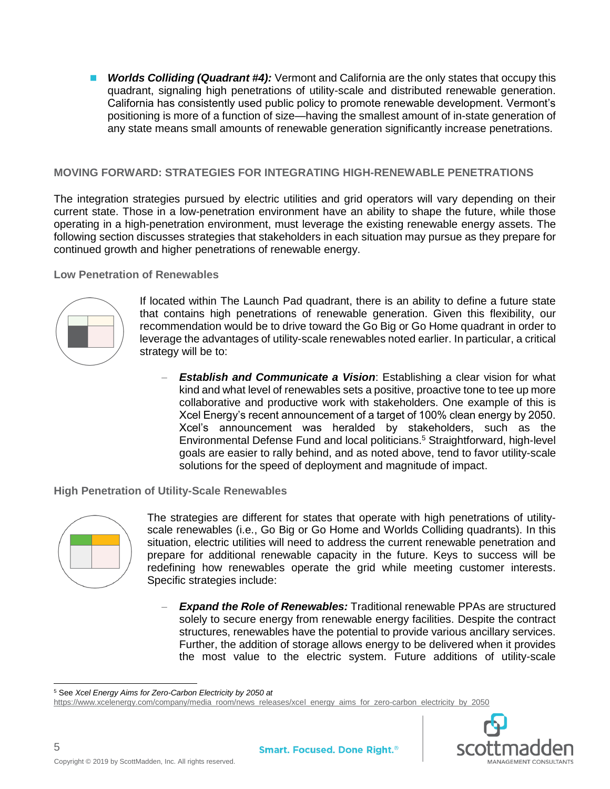■ **Worlds Colliding (Quadrant #4):** Vermont and California are the only states that occupy this quadrant, signaling high penetrations of utility-scale and distributed renewable generation. California has consistently used public policy to promote renewable development. Vermont's positioning is more of a function of size—having the smallest amount of in-state generation of any state means small amounts of renewable generation significantly increase penetrations.

## **MOVING FORWARD: STRATEGIES FOR INTEGRATING HIGH-RENEWABLE PENETRATIONS**

The integration strategies pursued by electric utilities and grid operators will vary depending on their current state. Those in a low-penetration environment have an ability to shape the future, while those operating in a high-penetration environment, must leverage the existing renewable energy assets. The following section discusses strategies that stakeholders in each situation may pursue as they prepare for continued growth and higher penetrations of renewable energy.

#### **Low Penetration of Renewables**



If located within The Launch Pad quadrant, there is an ability to define a future state that contains high penetrations of renewable generation. Given this flexibility, our recommendation would be to drive toward the Go Big or Go Home quadrant in order to leverage the advantages of utility-scale renewables noted earlier. In particular, a critical strategy will be to:

**Establish and Communicate a Vision:** Establishing a clear vision for what kind and what level of renewables sets a positive, proactive tone to tee up more collaborative and productive work with stakeholders. One example of this is Xcel Energy's recent announcement of a target of 100% clean energy by 2050. Xcel's announcement was heralded by stakeholders, such as the Environmental Defense Fund and local politicians.<sup>5</sup> Straightforward, high-level goals are easier to rally behind, and as noted above, tend to favor utility-scale solutions for the speed of deployment and magnitude of impact.

#### **High Penetration of Utility-Scale Renewables**



The strategies are different for states that operate with high penetrations of utilityscale renewables (i.e., Go Big or Go Home and Worlds Colliding quadrants). In this situation, electric utilities will need to address the current renewable penetration and prepare for additional renewable capacity in the future. Keys to success will be redefining how renewables operate the grid while meeting customer interests. Specific strategies include:

**Expand the Role of Renewables:** Traditional renewable PPAs are structured solely to secure energy from renewable energy facilities. Despite the contract structures, renewables have the potential to provide various ancillary services. Further, the addition of storage allows energy to be delivered when it provides the most value to the electric system. Future additions of utility-scale

[https://www.xcelenergy.com/company/media\\_room/news\\_releases/xcel\\_energy\\_aims\\_for\\_zero-carbon\\_electricity\\_by\\_2050](https://www.xcelenergy.com/company/media_room/news_releases/xcel_energy_aims_for_zero-carbon_electricity_by_2050)



 <sup>5</sup> See *Xcel Energy Aims for Zero-Carbon Electricity by 2050 at*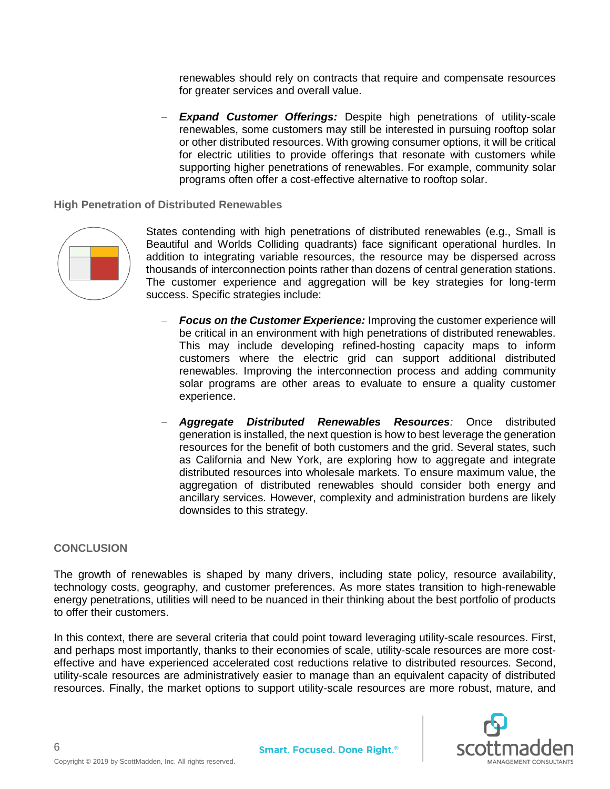renewables should rely on contracts that require and compensate resources for greater services and overall value.

**Expand Customer Offerings:** Despite high penetrations of utility-scale renewables, some customers may still be interested in pursuing rooftop solar or other distributed resources. With growing consumer options, it will be critical for electric utilities to provide offerings that resonate with customers while supporting higher penetrations of renewables. For example, community solar programs often offer a cost-effective alternative to rooftop solar.

**High Penetration of Distributed Renewables**



States contending with high penetrations of distributed renewables (e.g., Small is Beautiful and Worlds Colliding quadrants) face significant operational hurdles. In addition to integrating variable resources, the resource may be dispersed across thousands of interconnection points rather than dozens of central generation stations. The customer experience and aggregation will be key strategies for long-term success. Specific strategies include:

- **Focus on the Customer Experience:** Improving the customer experience will be critical in an environment with high penetrations of distributed renewables. This may include developing refined-hosting capacity maps to inform customers where the electric grid can support additional distributed renewables. Improving the interconnection process and adding community solar programs are other areas to evaluate to ensure a quality customer experience.
- − *Aggregate Distributed Renewables Resources:* Once distributed generation is installed, the next question is how to best leverage the generation resources for the benefit of both customers and the grid. Several states, such as California and New York, are exploring how to aggregate and integrate distributed resources into wholesale markets. To ensure maximum value, the aggregation of distributed renewables should consider both energy and ancillary services. However, complexity and administration burdens are likely downsides to this strategy.

## **CONCLUSION**

6

The growth of renewables is shaped by many drivers, including state policy, resource availability, technology costs, geography, and customer preferences. As more states transition to high-renewable energy penetrations, utilities will need to be nuanced in their thinking about the best portfolio of products to offer their customers.

In this context, there are several criteria that could point toward leveraging utility-scale resources. First, and perhaps most importantly, thanks to their economies of scale, utility-scale resources are more costeffective and have experienced accelerated cost reductions relative to distributed resources. Second, utility-scale resources are administratively easier to manage than an equivalent capacity of distributed resources. Finally, the market options to support utility-scale resources are more robust, mature, and